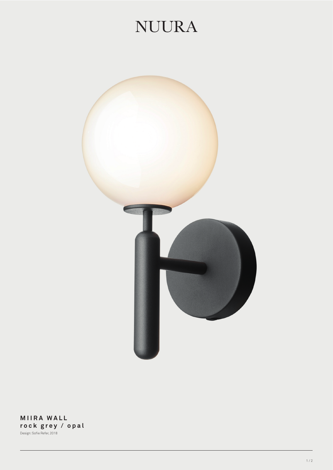## **NUURA**



**MIIRA WALL rock grey / opal** Design: Sofie Refer, 2018